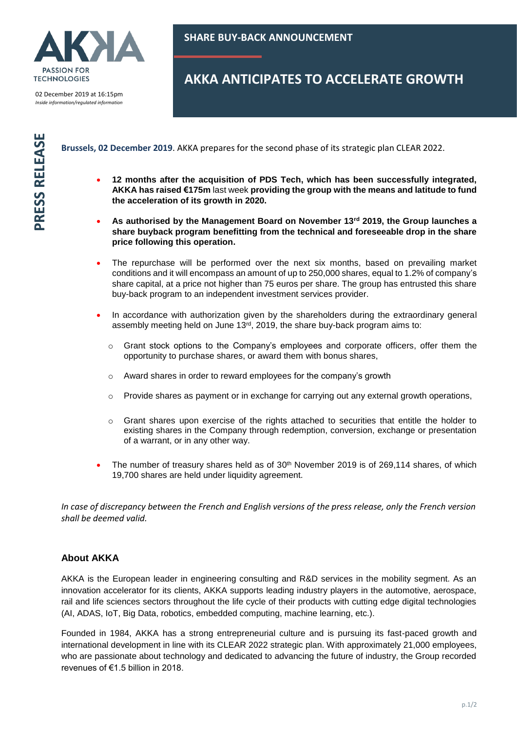

02 December 2019 at 16:15pm *Inside information/regulated information*

## **AKKA ANTICIPATES TO ACCELERATE GROWTH**

**Brussels, 02 December 2019**. AKKA prepares for the second phase of its strategic plan CLEAR 2022.

- **12 months after the acquisition of PDS Tech, which has been successfully integrated, AKKA has raised €175m** last week **providing the group with the means and latitude to fund the acceleration of its growth in 2020.**
- **As authorised by the Management Board on November 13rd 2019, the Group launches a share buyback program benefitting from the technical and foreseeable drop in the share price following this operation.**
- The repurchase will be performed over the next six months, based on prevailing market conditions and it will encompass an amount of up to 250,000 shares, equal to 1.2% of company's share capital, at a price not higher than 75 euros per share. The group has entrusted this share buy-back program to an independent investment services provider.
- In accordance with authorization given by the shareholders during the extraordinary general assembly meeting held on June 13rd, 2019, the share buy-back program aims to:
	- $\circ$  Grant stock options to the Company's employees and corporate officers, offer them the opportunity to purchase shares, or award them with bonus shares,
	- o Award shares in order to reward employees for the company's growth
	- $\circ$  Provide shares as payment or in exchange for carrying out any external growth operations,
	- $\circ$  Grant shares upon exercise of the rights attached to securities that entitle the holder to existing shares in the Company through redemption, conversion, exchange or presentation of a warrant, or in any other way.
- The number of treasury shares held as of  $30<sup>th</sup>$  November 2019 is of 269,114 shares, of which 19,700 shares are held under liquidity agreement.

*In case of discrepancy between the French and English versions of the press release, only the French version shall be deemed valid.* 

## **About AKKA**

AKKA is the European leader in engineering consulting and R&D services in the mobility segment. As an innovation accelerator for its clients, AKKA supports leading industry players in the automotive, aerospace, rail and life sciences sectors throughout the life cycle of their products with cutting edge digital technologies (AI, ADAS, IoT, Big Data, robotics, embedded computing, machine learning, etc.).

Founded in 1984, AKKA has a strong entrepreneurial culture and is pursuing its fast-paced growth and international development in line with its CLEAR 2022 strategic plan. With approximately 21,000 employees, who are passionate about technology and dedicated to advancing the future of industry, the Group recorded revenues of €1.5 billion in 2018.